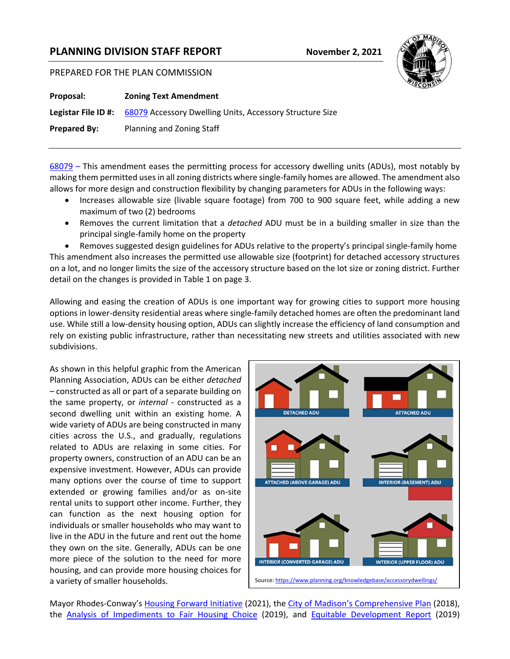## **PLANNING DIVISION STAFF REPORT November 2, 2021**

## PREPARED FOR THE PLAN COMMISSION

| Proposal:           | <b>Zoning Text Amendment</b>                                                        |
|---------------------|-------------------------------------------------------------------------------------|
|                     | <b>Legistar File ID #:</b> 68079 Accessory Dwelling Units, Accessory Structure Size |
| <b>Prepared By:</b> | Planning and Zoning Staff                                                           |
|                     |                                                                                     |

[68079](https://madison.legistar.com/LegislationDetail.aspx?ID=5195769&GUID=559E3826-3180-4EF3-85E9-D668534BC1E9&Options=ID|Text|&Search=accessory+dwelling) – This amendment eases the permitting process for accessory dwelling units (ADUs), most notably by making them permitted uses in all zoning districts where single-family homes are allowed. The amendment also allows for more design and construction flexibility by changing parameters for ADUs in the following ways:

- Increases allowable size (livable square footage) from 700 to 900 square feet, while adding a new maximum of two (2) bedrooms
- Removes the current limitation that a *detached* ADU must be in a building smaller in size than the principal single-family home on the property

• Removes suggested design guidelines for ADUs relative to the property's principal single-family home This amendment also increases the permitted use allowable size (footprint) for detached accessory structures on a lot, and no longer limits the size of the accessory structure based on the lot size or zoning district. Further detail on the changes is provided in Table 1 on page 3.

Allowing and easing the creation of ADUs is one important way for growing cities to support more housing options in lower-density residential areas where single-family detached homes are often the predominant land use. While still a low-density housing option, ADUs can slightly increase the efficiency of land consumption and rely on existing public infrastructure, rather than necessitating new streets and utilities associated with new subdivisions.

As shown in this helpful graphic from the American Planning Association, ADUs can be either *detached* – constructed as all or part of a separate building on the same property, or *internal* - constructed as a second dwelling unit within an existing home. A wide variety of ADUs are being constructed in many cities across the U.S., and gradually, regulations related to ADUs are relaxing in some cities. For property owners, construction of an ADU can be an expensive investment. However, ADUs can provide many options over the course of time to support extended or growing families and/or as on-site rental units to support other income. Further, they can function as the next housing option for individuals or smaller households who may want to live in the ADU in the future and rent out the home they own on the site. Generally, ADUs can be one more piece of the solution to the need for more housing, and can provide more housing choices for a variety of smaller households.



Mayor Rhodes-Conway's [Housing Forward Initiative](https://www.cityofmadison.com/sites/default/files/news/attachments/housing_forward_final.pdf) (2021), the [City of Madison's Comprehensive Plan](https://www.cityofmadison.com/dpced/planning/plans/440/#Citywide%20Plans) (2018), the [Analysis of Impediments to Fair Housing Choice](https://www.cityofmadison.com/cdbg/documents/FullReport-ImpedimentstoFairHousingChoiceFINAL.pdf) (2019), and [Equitable Development Report](https://www.cityofmadison.com/dpced/planning/documents/Equitable%20Development%20Report%20111919.pdf) (2019)

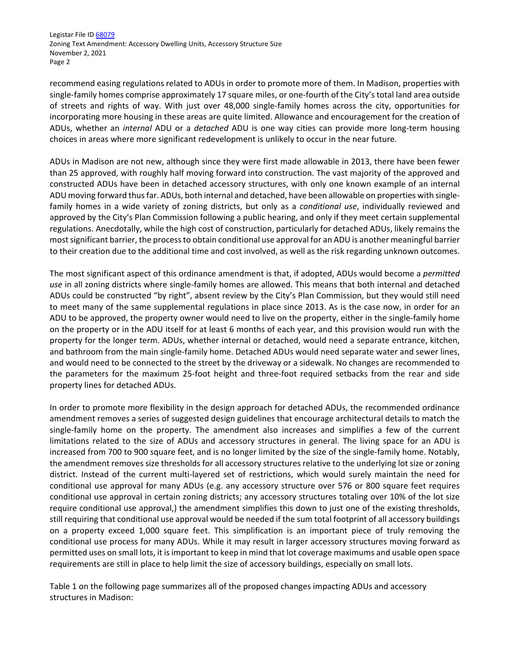Legistar File ID [68079](https://madison.legistar.com/LegislationDetail.aspx?ID=5195769&GUID=559E3826-3180-4EF3-85E9-D668534BC1E9&Options=ID|Text|&Search=accessory+dwelling) Zoning Text Amendment: Accessory Dwelling Units, Accessory Structure Size November 2, 2021 Page 2

recommend easing regulations related to ADUs in order to promote more of them. In Madison, properties with single-family homes comprise approximately 17 square miles, or one-fourth of the City's total land area outside of streets and rights of way. With just over 48,000 single-family homes across the city, opportunities for incorporating more housing in these areas are quite limited. Allowance and encouragement for the creation of ADUs, whether an *internal* ADU or a *detached* ADU is one way cities can provide more long-term housing choices in areas where more significant redevelopment is unlikely to occur in the near future.

ADUs in Madison are not new, although since they were first made allowable in 2013, there have been fewer than 25 approved, with roughly half moving forward into construction. The vast majority of the approved and constructed ADUs have been in detached accessory structures, with only one known example of an internal ADU moving forward thus far. ADUs, both internal and detached, have been allowable on properties with singlefamily homes in a wide variety of zoning districts, but only as a *conditional use*, individually reviewed and approved by the City's Plan Commission following a public hearing, and only if they meet certain supplemental regulations. Anecdotally, while the high cost of construction, particularly for detached ADUs, likely remains the most significant barrier, the process to obtain conditional use approval for an ADU is another meaningful barrier to their creation due to the additional time and cost involved, as well as the risk regarding unknown outcomes.

The most significant aspect of this ordinance amendment is that, if adopted, ADUs would become a *permitted use* in all zoning districts where single-family homes are allowed. This means that both internal and detached ADUs could be constructed "by right", absent review by the City's Plan Commission, but they would still need to meet many of the same supplemental regulations in place since 2013. As is the case now, in order for an ADU to be approved, the property owner would need to live on the property, either in the single-family home on the property or in the ADU itself for at least 6 months of each year, and this provision would run with the property for the longer term. ADUs, whether internal or detached, would need a separate entrance, kitchen, and bathroom from the main single-family home. Detached ADUs would need separate water and sewer lines, and would need to be connected to the street by the driveway or a sidewalk. No changes are recommended to the parameters for the maximum 25-foot height and three-foot required setbacks from the rear and side property lines for detached ADUs.

In order to promote more flexibility in the design approach for detached ADUs, the recommended ordinance amendment removes a series of suggested design guidelines that encourage architectural details to match the single-family home on the property. The amendment also increases and simplifies a few of the current limitations related to the size of ADUs and accessory structures in general. The living space for an ADU is increased from 700 to 900 square feet, and is no longer limited by the size of the single-family home. Notably, the amendment removes size thresholds for all accessory structures relative to the underlying lot size or zoning district. Instead of the current multi-layered set of restrictions, which would surely maintain the need for conditional use approval for many ADUs (e.g. any accessory structure over 576 or 800 square feet requires conditional use approval in certain zoning districts; any accessory structures totaling over 10% of the lot size require conditional use approval,) the amendment simplifies this down to just one of the existing thresholds, still requiring that conditional use approval would be needed if the sum total footprint of all accessory buildings on a property exceed 1,000 square feet. This simplification is an important piece of truly removing the conditional use process for many ADUs. While it may result in larger accessory structures moving forward as permitted uses on small lots, it is important to keep in mind that lot coverage maximums and usable open space requirements are still in place to help limit the size of accessory buildings, especially on small lots.

Table 1 on the following page summarizes all of the proposed changes impacting ADUs and accessory structures in Madison: